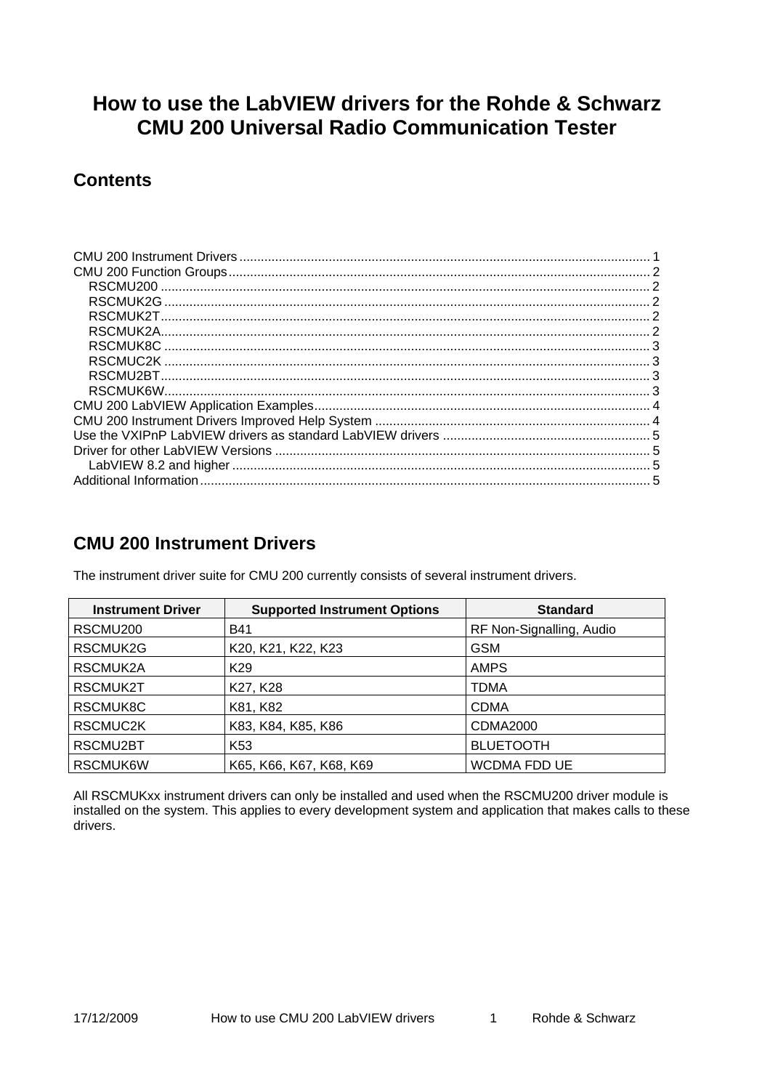# <span id="page-0-0"></span>**How to use the LabVIEW drivers for the Rohde & Schwarz CMU 200 Universal Radio Communication Tester**

## **Contents**

| RSCMUK2G |  |
|----------|--|
|          |  |
|          |  |
| RSCMUK8C |  |
|          |  |
|          |  |
|          |  |
|          |  |
|          |  |
|          |  |
|          |  |
|          |  |
|          |  |

## **CMU 200 Instrument Drivers**

The instrument driver suite for CMU 200 currently consists of several instrument drivers.

| <b>Instrument Driver</b> | <b>Supported Instrument Options</b> | <b>Standard</b>          |
|--------------------------|-------------------------------------|--------------------------|
| RSCMU <sub>200</sub>     | <b>B41</b>                          | RF Non-Signalling, Audio |
| RSCMUK2G                 | K20, K21, K22, K23                  | <b>GSM</b>               |
| RSCMUK2A                 | K <sub>29</sub>                     | <b>AMPS</b>              |
| RSCMUK2T                 | K27, K28                            | <b>TDMA</b>              |
| RSCMUK8C                 | K81, K82                            | <b>CDMA</b>              |
| RSCMUC2K                 | K83, K84, K85, K86                  | CDMA2000                 |
| RSCMU2BT                 | K <sub>53</sub>                     | <b>BLUETOOTH</b>         |
| RSCMUK6W                 | K65, K66, K67, K68, K69             | <b>WCDMA FDD UE</b>      |

All RSCMUKxx instrument drivers can only be installed and used when the RSCMU200 driver module is installed on the system. This applies to every development system and application that makes calls to these drivers.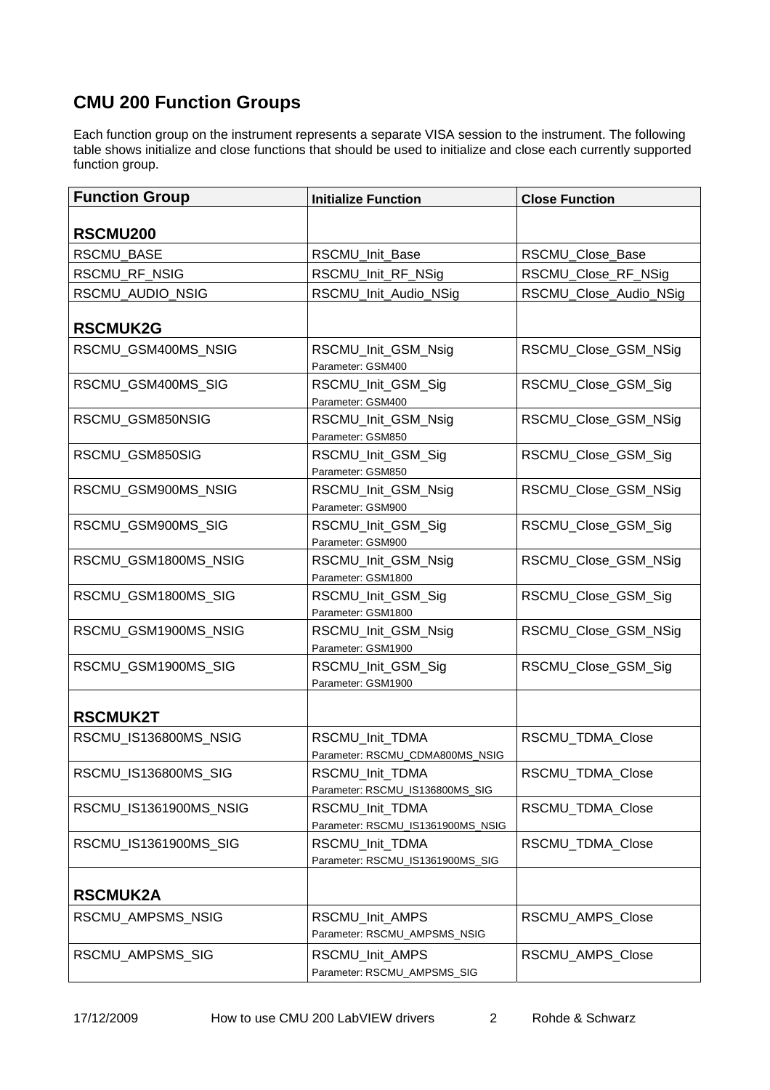# <span id="page-1-0"></span>**CMU 200 Function Groups**

Each function group on the instrument represents a separate VISA session to the instrument. The following table shows initialize and close functions that should be used to initialize and close each currently supported function group.

| <b>Function Group</b>  | <b>Initialize Function</b>                           | <b>Close Function</b>  |
|------------------------|------------------------------------------------------|------------------------|
| RSCMU <sub>200</sub>   |                                                      |                        |
| <b>RSCMU BASE</b>      | RSCMU Init Base                                      | RSCMU_Close_Base       |
| RSCMU_RF_NSIG          | RSCMU_Init_RF_NSig                                   | RSCMU_Close_RF_NSig    |
| RSCMU_AUDIO_NSIG       | RSCMU_Init_Audio_NSig                                | RSCMU_Close_Audio_NSig |
| <b>RSCMUK2G</b>        |                                                      |                        |
| RSCMU_GSM400MS_NSIG    | RSCMU_Init_GSM_Nsig<br>Parameter: GSM400             | RSCMU_Close_GSM_NSig   |
| RSCMU_GSM400MS_SIG     | RSCMU_Init_GSM_Sig<br>Parameter: GSM400              | RSCMU_Close_GSM_Sig    |
| RSCMU_GSM850NSIG       | RSCMU_Init_GSM_Nsig<br>Parameter: GSM850             | RSCMU_Close_GSM_NSig   |
| RSCMU_GSM850SIG        | RSCMU_Init_GSM_Sig<br>Parameter: GSM850              | RSCMU_Close_GSM_Sig    |
| RSCMU GSM900MS NSIG    | RSCMU_Init_GSM_Nsig<br>Parameter: GSM900             | RSCMU_Close_GSM_NSig   |
| RSCMU_GSM900MS_SIG     | RSCMU_Init_GSM_Sig<br>Parameter: GSM900              | RSCMU_Close_GSM_Sig    |
| RSCMU_GSM1800MS_NSIG   | RSCMU_Init_GSM_Nsig<br>Parameter: GSM1800            | RSCMU_Close_GSM_NSig   |
| RSCMU_GSM1800MS_SIG    | RSCMU_Init_GSM_Sig<br>Parameter: GSM1800             | RSCMU_Close_GSM_Sig    |
| RSCMU_GSM1900MS_NSIG   | RSCMU_Init_GSM_Nsig<br>Parameter: GSM1900            | RSCMU_Close_GSM_NSig   |
| RSCMU_GSM1900MS_SIG    | RSCMU_Init_GSM_Sig<br>Parameter: GSM1900             | RSCMU_Close_GSM_Sig    |
| <b>RSCMUK2T</b>        |                                                      |                        |
| RSCMU_IS136800MS_NSIG  | RSCMU_Init_TDMA<br>Parameter: RSCMU_CDMA800MS_NSIG   | RSCMU_TDMA_Close       |
| RSCMU_IS136800MS_SIG   | RSCMU_Init_TDMA<br>Parameter: RSCMU_IS136800MS_SIG   | RSCMU_TDMA_Close       |
| RSCMU_IS1361900MS_NSIG | RSCMU Init TDMA<br>Parameter: RSCMU_IS1361900MS_NSIG | RSCMU_TDMA_Close       |
| RSCMU_IS1361900MS_SIG  | RSCMU_Init_TDMA<br>Parameter: RSCMU_IS1361900MS_SIG  | RSCMU_TDMA_Close       |
| <b>RSCMUK2A</b>        |                                                      |                        |
| RSCMU_AMPSMS_NSIG      | RSCMU Init AMPS<br>Parameter: RSCMU_AMPSMS_NSIG      | RSCMU AMPS Close       |
| RSCMU_AMPSMS_SIG       | RSCMU_Init_AMPS<br>Parameter: RSCMU_AMPSMS_SIG       | RSCMU_AMPS_Close       |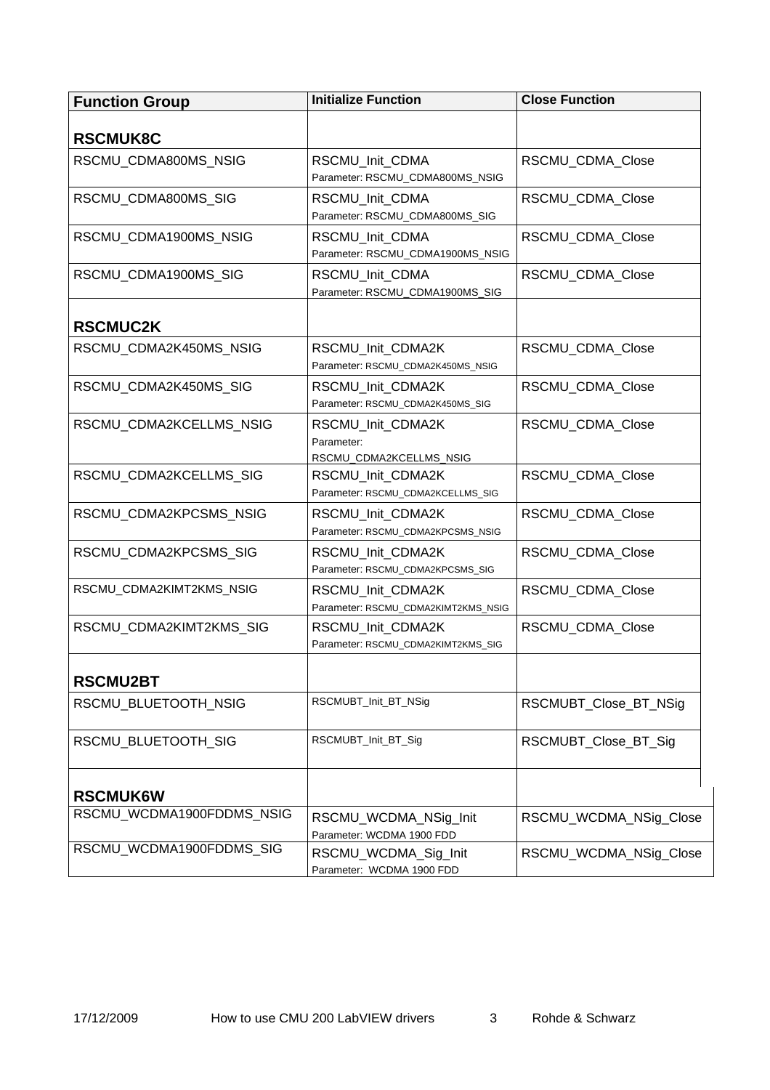<span id="page-2-0"></span>

| <b>Function Group</b>     | <b>Initialize Function</b>                                 | <b>Close Function</b>  |
|---------------------------|------------------------------------------------------------|------------------------|
|                           |                                                            |                        |
| <b>RSCMUK8C</b>           |                                                            |                        |
| RSCMU CDMA800MS NSIG      | RSCMU_Init_CDMA<br>Parameter: RSCMU_CDMA800MS_NSIG         | RSCMU_CDMA_Close       |
| RSCMU_CDMA800MS_SIG       | RSCMU_Init_CDMA<br>Parameter: RSCMU_CDMA800MS_SIG          | RSCMU_CDMA_Close       |
| RSCMU CDMA1900MS NSIG     | RSCMU_Init_CDMA<br>Parameter: RSCMU_CDMA1900MS_NSIG        | RSCMU_CDMA_Close       |
| RSCMU_CDMA1900MS_SIG      | RSCMU_Init_CDMA<br>Parameter: RSCMU_CDMA1900MS_SIG         | RSCMU_CDMA_Close       |
| <b>RSCMUC2K</b>           |                                                            |                        |
| RSCMU CDMA2K450MS NSIG    | RSCMU_Init_CDMA2K<br>Parameter: RSCMU_CDMA2K450MS_NSIG     | RSCMU_CDMA_Close       |
| RSCMU CDMA2K450MS SIG     | RSCMU_Init_CDMA2K<br>Parameter: RSCMU_CDMA2K450MS_SIG      | RSCMU_CDMA_Close       |
| RSCMU CDMA2KCELLMS NSIG   | RSCMU_Init_CDMA2K<br>Parameter:<br>RSCMU_CDMA2KCELLMS_NSIG | RSCMU_CDMA_Close       |
| RSCMU_CDMA2KCELLMS_SIG    | RSCMU_Init_CDMA2K<br>Parameter: RSCMU_CDMA2KCELLMS_SIG     | RSCMU_CDMA_Close       |
| RSCMU_CDMA2KPCSMS_NSIG    | RSCMU_Init_CDMA2K<br>Parameter: RSCMU_CDMA2KPCSMS_NSIG     | RSCMU_CDMA_Close       |
| RSCMU_CDMA2KPCSMS_SIG     | RSCMU_Init_CDMA2K<br>Parameter: RSCMU_CDMA2KPCSMS_SIG      | RSCMU_CDMA_Close       |
| RSCMU_CDMA2KIMT2KMS_NSIG  | RSCMU_Init_CDMA2K<br>Parameter: RSCMU_CDMA2KIMT2KMS_NSIG   | RSCMU_CDMA_Close       |
| RSCMU CDMA2KIMT2KMS SIG   | RSCMU_Init_CDMA2K<br>Parameter: RSCMU_CDMA2KIMT2KMS_SIG    | RSCMU_CDMA_Close       |
| <b>RSCMU2BT</b>           |                                                            |                        |
| RSCMU_BLUETOOTH_NSIG      | RSCMUBT_Init_BT_NSig                                       | RSCMUBT_Close_BT_NSig  |
| RSCMU_BLUETOOTH_SIG       | RSCMUBT_Init_BT_Sig                                        | RSCMUBT_Close_BT_Sig   |
| <b>RSCMUK6W</b>           |                                                            |                        |
| RSCMU_WCDMA1900FDDMS_NSIG | RSCMU_WCDMA_NSig_Init<br>Parameter: WCDMA 1900 FDD         | RSCMU_WCDMA_NSig_Close |
| RSCMU_WCDMA1900FDDMS_SIG  | RSCMU_WCDMA_Sig_Init<br>Parameter: WCDMA 1900 FDD          | RSCMU_WCDMA_NSig_Close |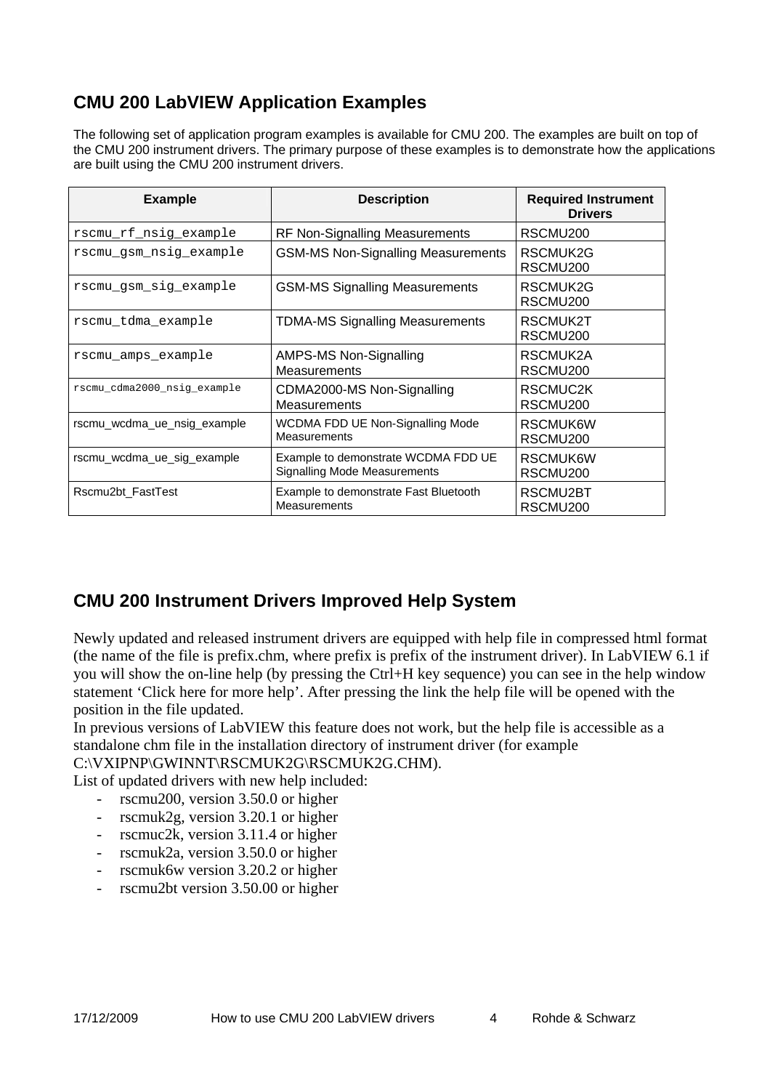# <span id="page-3-0"></span>**CMU 200 LabVIEW Application Examples**

The following set of application program examples is available for CMU 200. The examples are built on top of the CMU 200 instrument drivers. The primary purpose of these examples is to demonstrate how the applications are built using the CMU 200 instrument drivers.

| <b>Example</b>              | <b>Description</b>                                                         | <b>Required Instrument</b><br><b>Drivers</b> |
|-----------------------------|----------------------------------------------------------------------------|----------------------------------------------|
| rscmu_rf_nsig_example       | <b>RF Non-Signalling Measurements</b>                                      | RSCMU <sub>200</sub>                         |
| rscmu_gsm_nsig_example      | <b>GSM-MS Non-Signalling Measurements</b>                                  | RSCMUK2G<br>RSCMU <sub>200</sub>             |
| rscmu_gsm_sig_example       | <b>GSM-MS Signalling Measurements</b>                                      | RSCMUK2G<br>RSCMU <sub>200</sub>             |
| rscmu tdma example          | <b>TDMA-MS Signalling Measurements</b>                                     | RSCMUK2T<br>RSCMU <sub>200</sub>             |
| rscmu amps example          | AMPS-MS Non-Signalling<br><b>Measurements</b>                              | RSCMUK2A<br>RSCMU <sub>200</sub>             |
| rscmu_cdma2000_nsig_example | CDMA2000-MS Non-Signalling<br><b>Measurements</b>                          | RSCMUC2K<br>RSCMU <sub>200</sub>             |
| rscmu wcdma ue nsig example | WCDMA FDD UE Non-Signalling Mode<br><b>Measurements</b>                    | RSCMUK6W<br>RSCMU <sub>200</sub>             |
| rscmu wcdma ue sig example  | Example to demonstrate WCDMA FDD UE<br><b>Signalling Mode Measurements</b> | RSCMUK6W<br>RSCMU <sub>200</sub>             |
| Rscmu2bt_FastTest           | Example to demonstrate Fast Bluetooth<br>Measurements                      | RSCMU2BT<br>RSCMU <sub>200</sub>             |

## **CMU 200 Instrument Drivers Improved Help System**

Newly updated and released instrument drivers are equipped with help file in compressed html format (the name of the file is prefix.chm, where prefix is prefix of the instrument driver). In LabVIEW 6.1 if you will show the on-line help (by pressing the Ctrl+H key sequence) you can see in the help window statement 'Click here for more help'. After pressing the link the help file will be opened with the position in the file updated.

In previous versions of LabVIEW this feature does not work, but the help file is accessible as a standalone chm file in the installation directory of instrument driver (for example

#### C:\VXIPNP\GWINNT\RSCMUK2G\RSCMUK2G.CHM).

List of updated drivers with new help included:

- rscmu<sub>200</sub>, version 3.50.0 or higher
- rscmuk2g, version 3.20.1 or higher
- rscmuc<sub>2k</sub>, version  $3.11.4$  or higher
- rscmuk2a, version 3.50.0 or higher
- rscmuk6w version 3.20.2 or higher
- rscmu2bt version 3.50.00 or higher